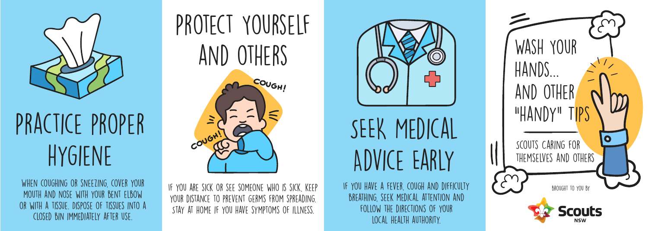

Practice proper hygiene

When coughing or sneezing, cover your mouth and nose with your bent elbow or with a tissue. Dispose of tissues into a closed bin immediately after use.



If you are sick or see someone who is sick, keep your distance to prevent germs from spreading. Stay at home if you have symptoms of illness.



SEEK MEDICAL Advice Early

If you have a fever, cough and difficulty breathing, seek medical attention and follow the directions of your local health authority.